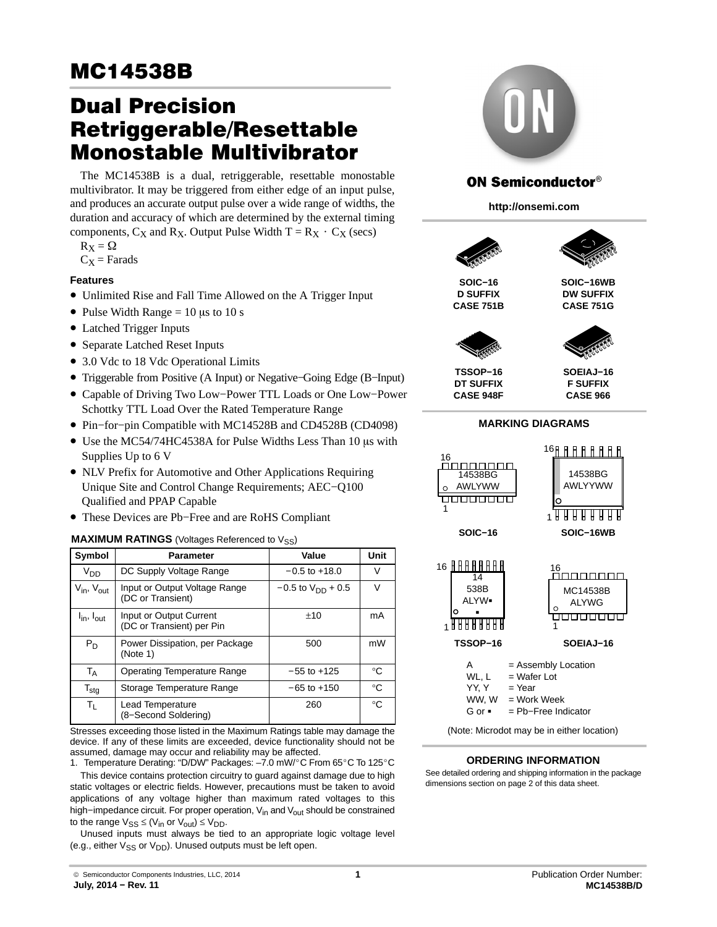## **Dual Precision Retriggerable/Resettable Monostable Multivibrator**

The MC14538B is a dual, retriggerable, resettable monostable multivibrator. It may be triggered from either edge of an input pulse, and produces an accurate output pulse over a wide range of widths, the duration and accuracy of which are determined by the external timing and produces an accurate output pulse over a wide range of widths.<br>duration and accuracy of which are determined by the external tin<br>components,  $C_X$  and  $R_X$ . Output Pulse Width  $T = R_X \cdot C_X$  (secs)

$$
R_X=\Omega
$$

$$
C_X = \text{Farads}
$$

### **Features**

- Unlimited Rise and Fall Time Allowed on the A Trigger Input
- Pulse Width Range  $= 10 \mu s$  to 10 s
- Latched Trigger Inputs
- Separate Latched Reset Inputs
- 3.0 Vdc to 18 Vdc Operational Limits
- Triggerable from Positive (A Input) or Negative−Going Edge (B−Input)
- Capable of Driving Two Low−Power TTL Loads or One Low−Power Schottky TTL Load Over the Rated Temperature Range
- Pin−for−pin Compatible with MC14528B and CD4528B (CD4098)
- Use the MC54/74HC4538A for Pulse Widths Less Than 10 us with Supplies Up to 6 V
- NLV Prefix for Automotive and Other Applications Requiring Unique Site and Control Change Requirements; AEC−Q100 Qualified and PPAP Capable
- These Devices are Pb−Free and are RoHS Compliant

### **MAXIMUM RATINGS** (Voltages Referenced to V<sub>SS</sub>)

| Symbol                             | <b>Parameter</b>                                     | Value                    | Unit         |
|------------------------------------|------------------------------------------------------|--------------------------|--------------|
| $V_{DD}$                           | DC Supply Voltage Range                              | $-0.5$ to $+18.0$        | V            |
| $V_{in}$ , $V_{out}$               | Input or Output Voltage Range<br>(DC or Transient)   | $-0.5$ to $V_{DD}$ + 0.5 | V            |
| $I_{\text{in}}$ , $I_{\text{out}}$ | Input or Output Current<br>(DC or Transient) per Pin | ±10                      | mA           |
| $P_D$                              | Power Dissipation, per Package<br>(Note 1)           | 500                      | mW           |
| $T_A$                              | Operating Temperature Range                          | $-55$ to $+125$          | $^{\circ}C$  |
| $T_{\text{stg}}$                   | Storage Temperature Range                            | $-65$ to $+150$          | $^{\circ}C$  |
| Τı                                 | Lead Temperature<br>(8-Second Soldering)             | 260                      | $^{\circ}$ C |

Stresses exceeding those listed in the Maximum Ratings table may damage the device. If any of these limits are exceeded, device functionality should not be assumed, damage may occur and reliability may be affected.

assumed, damage may occur and renability may be allected.<br>1. Temperature Derating: "D/DW" Packages: –7.0 mW/°C From 65°C To 125°C This device contains protection circuitry to guard against damage due to high static voltages or electric fields. However, precautions must be taken to avoid applications of any voltage higher than maximum rated voltages to this high−impedance circuit. For proper operation, V<sub>in</sub> and V<sub>out</sub> should be constrained to the range  $V_{SS} \leq (V_{in} \text{ or } V_{out}) \leq V_{DD}$ .

Unused inputs must always be tied to an appropriate logic voltage level (e.g., either  $V_{SS}$  or  $V_{DD}$ ). Unused outputs must be left open.



## **ON Semiconductor®**

**http://onsemi.com**





**SOIC−16 D SUFFIX CASE 751B**

**SOIC−16WB DW SUFFIX CASE 751G**



**TSSOP−16 DT SUFFIX CASE 948F** **SOEIAJ−16 F SUFFIX CASE 966**

### **MARKING DIAGRAMS**



(Note: Microdot may be in either location)

#### **ORDERING INFORMATION**

See detailed ordering and shipping information in the package dimensions section on page [2](#page-1-0) of this data sheet.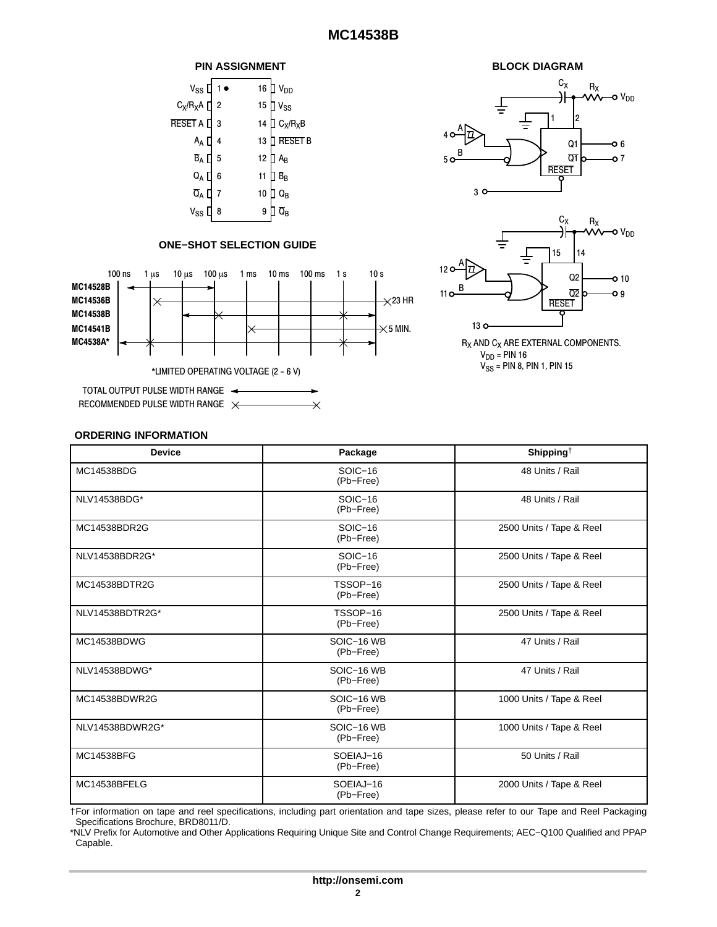### **PIN ASSIGNMENT**

<span id="page-1-0"></span>

| $V_{SS}$ [         |                | 16 | V <sub>DD</sub> |
|--------------------|----------------|----|-----------------|
| $C_X/R_XA$ $\Box$  | $\overline{2}$ | 15 | $V_{SS}$        |
| RESET A [          | 3              | 14 | $C_X/R_XB$      |
| $A_A \downarrow$   | 4              | 13 | <b>RESET B</b>  |
| $\overline{B}_A$ [ | 5              | 12 | $A_{\rm B}$     |
| $Q_A \Box$         | 6              | 11 | $B_R$           |
| $Q_A$ [            | 7              | 10 | Q <sub>R</sub>  |
| $V_{SS}$           | 8              | 9  |                 |

#### **ONE−SHOT SELECTION GUIDE**





### **BLOCK DIAGRAM**





 $R_X$  AND  $C_X$  ARE EXTERNAL COMPONENTS. V<sub>DD</sub> = PIN 16 V<sub>SS</sub> = PIN 8, PIN 1, PIN 15

#### **ORDERING INFORMATION**

| <b>Device</b>   | Package                                             | Shipping <sup>†</sup>    |
|-----------------|-----------------------------------------------------|--------------------------|
| MC14538BDG      | $SOIC-16$<br>(Pb-Free)                              | 48 Units / Rail          |
| NLV14538BDG*    | SOIC-16<br>(Pb-Free)                                | 48 Units / Rail          |
| MC14538BDR2G    | SOIC-16<br>(Pb-Free)                                | 2500 Units / Tape & Reel |
| NLV14538BDR2G*  | SOIC-16<br>(Pb-Free)                                |                          |
| MC14538BDTR2G   | TSSOP-16<br>(Pb-Free)                               | 2500 Units / Tape & Reel |
| NLV14538BDTR2G* | TSSOP-16<br>(Pb-Free)                               | 2500 Units / Tape & Reel |
| MC14538BDWG     | SOIC-16 WB<br>(Pb-Free)                             | 47 Units / Rail          |
| NLV14538BDWG*   | SOIC-16 WB<br>(Pb-Free)                             | 47 Units / Rail          |
| MC14538BDWR2G   | SOIC-16 WB<br>(Pb-Free)                             | 1000 Units / Tape & Reel |
| NLV14538BDWR2G* | SOIC-16 WB<br>1000 Units / Tape & Reel<br>(Pb-Free) |                          |
| MC14538BFG      | SOEIAJ-16<br>(Pb-Free)                              |                          |
| MC14538BFELG    | SOEIAJ-16<br>(Pb-Free)                              | 2000 Units / Tape & Reel |

†For information on tape and reel specifications, including part orientation and tape sizes, please refer to our Tape and Reel Packaging Specifications Brochure, BRD8011/D.

\*NLV Prefix for Automotive and Other Applications Requiring Unique Site and Control Change Requirements; AEC−Q100 Qualified and PPAP Capable.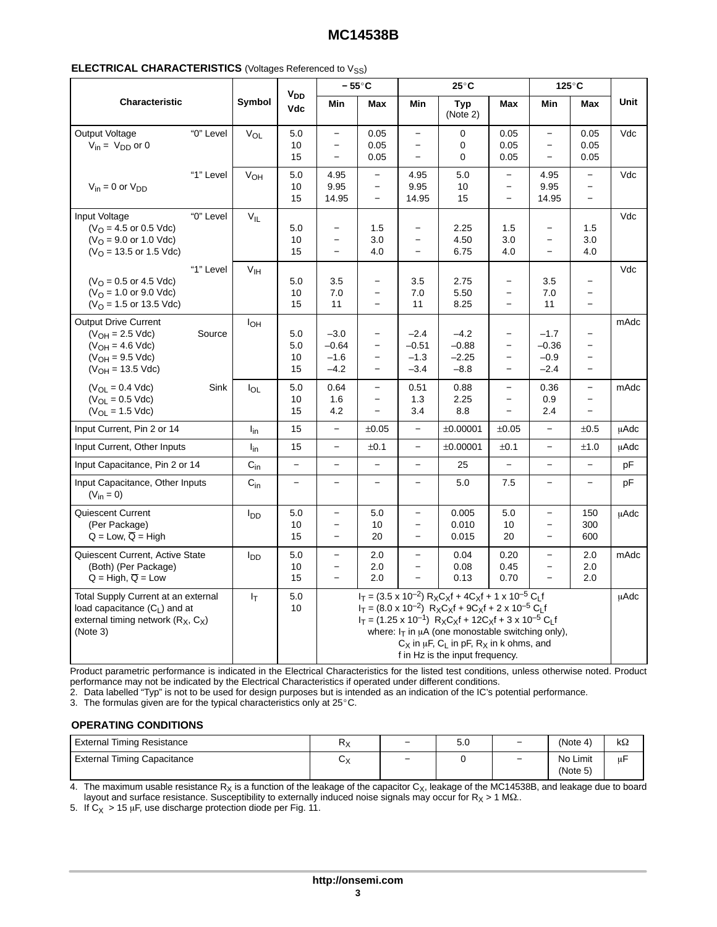#### **ELECTRICAL CHARACTERISTICS** (Voltages Referenced to V<sub>SS</sub>)

|                                                                                                                              |           |                        |                                     | $-55^{\circ}$ C                                                                  |                                                                                  | $25^{\circ}$ C                                                                   |                                                                                                                                                                                                                                                                                                                                                                                                                                                         |                                                                    | 125°C                                                                            |                                                                                  |             |
|------------------------------------------------------------------------------------------------------------------------------|-----------|------------------------|-------------------------------------|----------------------------------------------------------------------------------|----------------------------------------------------------------------------------|----------------------------------------------------------------------------------|---------------------------------------------------------------------------------------------------------------------------------------------------------------------------------------------------------------------------------------------------------------------------------------------------------------------------------------------------------------------------------------------------------------------------------------------------------|--------------------------------------------------------------------|----------------------------------------------------------------------------------|----------------------------------------------------------------------------------|-------------|
| Characteristic                                                                                                               |           | Symbol                 | <b>V<sub>DD</sub></b><br><b>Vdc</b> | Min                                                                              | Max                                                                              | Min                                                                              | Typ<br>(Note 2)                                                                                                                                                                                                                                                                                                                                                                                                                                         | Max                                                                | Min                                                                              | Max                                                                              | Unit        |
| Output Voltage<br>$V_{in} = V_{DD}$ or 0                                                                                     | "0" Level | V <sub>OL</sub>        | 5.0<br>10<br>15                     | $\overline{\phantom{0}}$<br>$\overline{\phantom{0}}$<br>$\overline{\phantom{0}}$ | 0.05<br>0.05<br>0.05                                                             | $\overline{\phantom{0}}$<br>$\overline{\phantom{0}}$<br>$\overline{\phantom{0}}$ | 0<br>0<br>0                                                                                                                                                                                                                                                                                                                                                                                                                                             | 0.05<br>0.05<br>0.05                                               | $\overline{\phantom{0}}$<br>$\overline{\phantom{0}}$<br>$\overline{\phantom{0}}$ | 0.05<br>0.05<br>0.05                                                             | Vdc         |
| $V_{in} = 0$ or $V_{DD}$                                                                                                     | "1" Level | $V_{OH}$               | 5.0<br>10<br>15                     | 4.95<br>9.95<br>14.95                                                            | $\overline{\phantom{0}}$<br>$\qquad \qquad -$<br>$\overline{\phantom{a}}$        | 4.95<br>9.95<br>14.95                                                            | 5.0<br>10<br>15                                                                                                                                                                                                                                                                                                                                                                                                                                         | $\qquad \qquad -$<br>$\qquad \qquad -$<br>$\overline{\phantom{a}}$ | 4.95<br>9.95<br>14.95                                                            | $\overline{\phantom{m}}$<br>$\overline{\phantom{m}}$<br>$\overline{\phantom{a}}$ | Vdc         |
| Input Voltage<br>$(VO = 4.5$ or 0.5 Vdc)<br>$(VO = 9.0$ or 1.0 Vdc)<br>$(VO = 13.5$ or 1.5 Vdc)                              | "0" Level | $V_{IL}$               | 5.0<br>10<br>15                     | $\qquad \qquad -$<br>$\overline{\phantom{0}}$<br>$\overline{\phantom{a}}$        | 1.5<br>3.0<br>4.0                                                                | $\qquad \qquad -$<br>$\overline{\phantom{0}}$<br>$\overline{\phantom{0}}$        | 2.25<br>4.50<br>6.75                                                                                                                                                                                                                                                                                                                                                                                                                                    | 1.5<br>3.0<br>4.0                                                  | -<br>$\overline{\phantom{0}}$<br>$\overline{\phantom{0}}$                        | 1.5<br>3.0<br>4.0                                                                | Vdc         |
| $(VO = 0.5$ or 4.5 Vdc)<br>$(VO = 1.0$ or 9.0 Vdc)<br>$(VO = 1.5$ or 13.5 Vdc)                                               | "1" Level | V <sub>IH</sub>        | 5.0<br>10<br>15                     | 3.5<br>7.0<br>11                                                                 | $\qquad \qquad -$<br>$\qquad \qquad -$<br>$\overline{\phantom{0}}$               | 3.5<br>7.0<br>11                                                                 | 2.75<br>5.50<br>8.25                                                                                                                                                                                                                                                                                                                                                                                                                                    | $\qquad \qquad -$<br>$\overline{\phantom{0}}$<br>$\qquad \qquad -$ | 3.5<br>7.0<br>11                                                                 | $\overline{\phantom{m}}$<br>$\overline{\phantom{m}}$<br>$\overline{\phantom{0}}$ | Vdc         |
| <b>Output Drive Current</b><br>$(V_{OH} = 2.5$ Vdc)<br>$(V_{OH} = 4.6$ Vdc)<br>$(V_{OH} = 9.5$ Vdc)<br>$(V_{OH} = 13.5$ Vdc) | Source    | Iон                    | 5.0<br>5.0<br>10<br>15              | $-3.0$<br>$-0.64$<br>$-1.6$<br>$-4.2$                                            | $\qquad \qquad -$<br>$\overline{\phantom{0}}$<br>$\qquad \qquad -$               | $-2.4$<br>$-0.51$<br>$-1.3$<br>$-3.4$                                            | $-4.2$<br>$-0.88$<br>$-2.25$<br>$-8.8$                                                                                                                                                                                                                                                                                                                                                                                                                  | $\qquad \qquad -$<br>$\qquad \qquad -$<br>$\overline{\phantom{a}}$ | $-1.7$<br>$-0.36$<br>$-0.9$<br>$-2.4$                                            | $\overline{\phantom{0}}$<br>$\qquad \qquad -$<br>$\overline{\phantom{a}}$        | mAdc        |
| $(V_{\Omega I} = 0.4$ Vdc)<br>$(V_{OL} = 0.5$ Vdc)<br>$(V_{OL} = 1.5$ Vdc)                                                   | Sink      | Io∟                    | 5.0<br>10<br>15                     | 0.64<br>1.6<br>4.2                                                               | $\overline{\phantom{0}}$<br>$\overline{\phantom{0}}$<br>$\overline{\phantom{0}}$ | 0.51<br>1.3<br>3.4                                                               | 0.88<br>2.25<br>8.8                                                                                                                                                                                                                                                                                                                                                                                                                                     | $\equiv$<br>$\overline{\phantom{0}}$<br>$\equiv$                   | 0.36<br>0.9<br>2.4                                                               | $\overline{\phantom{a}}$<br>$\qquad \qquad -$<br>$\equiv$                        | mAdc        |
| Input Current, Pin 2 or 14                                                                                                   |           | $I_{in}$               | 15                                  | $\qquad \qquad -$                                                                | ±0.05                                                                            | $\qquad \qquad -$                                                                | ±0.00001                                                                                                                                                                                                                                                                                                                                                                                                                                                | ±0.05                                                              | $\overline{\phantom{0}}$                                                         | ±0.5                                                                             | uAdc        |
| Input Current, Other Inputs                                                                                                  |           | $I_{in}$               | 15                                  | $\overline{\phantom{0}}$                                                         | ±0.1                                                                             | $\overline{\phantom{0}}$                                                         | ±0.00001                                                                                                                                                                                                                                                                                                                                                                                                                                                | $\pm 0.1$                                                          | $\overline{\phantom{0}}$                                                         | ±1.0                                                                             | uAdc        |
| Input Capacitance, Pin 2 or 14                                                                                               |           | $C_{in}$               | $\equiv$                            | $\overline{\phantom{a}}$                                                         | $\equiv$                                                                         | $\equiv$                                                                         | 25                                                                                                                                                                                                                                                                                                                                                                                                                                                      | $\equiv$                                                           | $\overline{\phantom{0}}$                                                         | $\overline{\phantom{0}}$                                                         | pF          |
| Input Capacitance, Other Inputs<br>$(V_{in} = 0)$                                                                            |           | $C_{in}$               |                                     |                                                                                  |                                                                                  | $\overline{\phantom{0}}$                                                         | 5.0                                                                                                                                                                                                                                                                                                                                                                                                                                                     | 7.5                                                                | $\overline{a}$                                                                   |                                                                                  | pF          |
| Quiescent Current<br>(Per Package)<br>$Q = Low$ , $\overline{Q} = High$                                                      |           | <b>I</b> <sub>DD</sub> | 5.0<br>10<br>15                     | $\qquad \qquad -$<br>$\qquad \qquad -$<br>$\overline{\phantom{0}}$               | 5.0<br>10<br>20                                                                  | $\qquad \qquad -$<br>-<br>$\overline{\phantom{0}}$                               | 0.005<br>0.010<br>0.015                                                                                                                                                                                                                                                                                                                                                                                                                                 | 5.0<br>10<br>20                                                    | $\overline{a}$<br>$\overline{\phantom{0}}$                                       | 150<br>300<br>600                                                                | uAdc        |
| Quiescent Current, Active State<br>(Both) (Per Package)<br>$Q = High, \overline{Q} = Low$                                    |           | l <sub>DD</sub>        | 5.0<br>10<br>15                     | $\qquad \qquad -$<br>$\qquad \qquad -$<br>$\overline{\phantom{m}}$               | 2.0<br>2.0<br>2.0                                                                | $\overline{\phantom{0}}$<br>$\qquad \qquad -$<br>$\qquad \qquad -$               | 0.04<br>0.08<br>0.13                                                                                                                                                                                                                                                                                                                                                                                                                                    | 0.20<br>0.45<br>0.70                                               | $\overline{\phantom{0}}$<br>$\qquad \qquad -$<br>$\equiv$                        | 2.0<br>2.0<br>2.0                                                                | mAdc        |
| Total Supply Current at an external<br>load capacitance $(C_1)$ and at<br>external timing network $(R_X, C_X)$<br>(Note 3)   |           | I <sub>T</sub>         | 5.0<br>10                           |                                                                                  |                                                                                  |                                                                                  | $I_T = (3.5 \times 10^{-2})$ R <sub>X</sub> C <sub>X</sub> f + 4C <sub>X</sub> f + 1 x 10 <sup>-5</sup> C <sub>L</sub> f<br>$I_T = (8.0 \times 10^{-2})$ $R_X C_X f + 9C_X f + 2 \times 10^{-5}$ C <sub>1</sub> f<br>$I_T = (1.25 \times 10^{-1})$ $R_X C_X f + 12C_X f + 3 \times 10^{-5} C_1 f$<br>where: $I_T$ in $\mu A$ (one monostable switching only),<br>$C_X$ in $\mu$ F, $C_1$ in pF, $R_X$ in k ohms, and<br>f in Hz is the input frequency. |                                                                    |                                                                                  |                                                                                  | <b>µAdc</b> |

Product parametric performance is indicated in the Electrical Characteristics for the listed test conditions, unless otherwise noted. Product performance may not be indicated by the Electrical Characteristics if operated under different conditions.

2. Data labelled "Typ" is not to be used for design purposes but is intended as an indication of the IC's potential performance.

2. Data labelled Typ 13 not to be used for design purposes but is lifted.<br>3. The formulas given are for the typical characteristics only at 25°C.

| <b>OPERATING CONDITIONS</b>        |    |                          |     |   |                      |    |
|------------------------------------|----|--------------------------|-----|---|----------------------|----|
| <b>External Timing Resistance</b>  | σ١ | $\overline{\phantom{0}}$ | 5.0 | - | (Note 4)             | kΩ |
| <b>External Timing Capacitance</b> | ∽∧ | $\overline{\phantom{0}}$ |     | - | No Limit<br>(Note 5) | u۲ |
|                                    |    |                          |     |   |                      |    |

4. The maximum usable resistance  $R_X$  is a function of the leakage of the capacitor  $C_X$ , leakage of the MC14538B, and leakage due to board layout and surface resistance. Susceptibility to externally induced noise signals may occur for  $\mathsf{R}_\mathsf{X}$  > 1 M $\Omega$ ..

5. If  $C_X > 15 \mu F$ , use discharge protection diode per Fig. 11.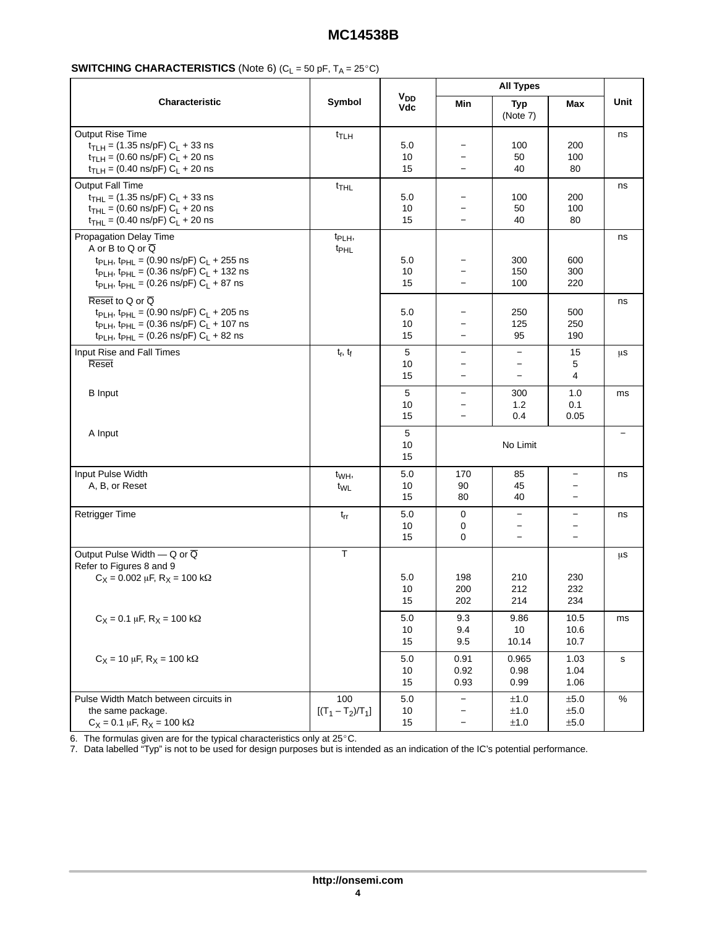### **SWITCHING CHARACTERISTICS** (Note 6)  $(C_L = 50 \text{ pF}, T_A = 25^{\circ}\text{C})$

|                                                                                                                                                                                                                                                                       |                                        |                                     |                                                                                  | <b>All Types</b>                                     |                                      |      |  |
|-----------------------------------------------------------------------------------------------------------------------------------------------------------------------------------------------------------------------------------------------------------------------|----------------------------------------|-------------------------------------|----------------------------------------------------------------------------------|------------------------------------------------------|--------------------------------------|------|--|
| Characteristic                                                                                                                                                                                                                                                        | Symbol                                 | <b>V<sub>DD</sub></b><br><b>Vdc</b> | Min                                                                              | Typ<br>(Note 7)                                      | Max                                  | Unit |  |
| <b>Output Rise Time</b><br>$t_{TLH}$ = (1.35 ns/pF) C <sub>L</sub> + 33 ns<br>$t_{\text{TLH}} = (0.60 \text{ ns/pF}) C_{\text{L}} + 20 \text{ ns}$<br>$t_{TLH} = (0.40 \text{ ns/pF}) C_L + 20 \text{ ns}$                                                            | t <sub>TLH</sub>                       | 5.0<br>10<br>15                     |                                                                                  | 100<br>50<br>40                                      | 200<br>100<br>80                     | ns   |  |
| <b>Output Fall Time</b><br>$t_{THL}$ = (1.35 ns/pF) $C_L$ + 33 ns<br>$t_{\text{THL}} = (0.60 \text{ ns/pF}) C_{\text{L}} + 20 \text{ ns}$<br>$t_{THL} = (0.40 \text{ ns/pF}) C_L + 20 \text{ ns}$                                                                     | t <sub>THL</sub>                       | 5.0<br>10<br>15                     | $\equiv$                                                                         | 100<br>50<br>40                                      | 200<br>100<br>80                     | ns   |  |
| Propagation Delay Time<br>A or B to Q or $\overline{Q}$<br>t <sub>PLH</sub> , t <sub>PHL</sub> = (0.90 ns/pF) $C_L$ + 255 ns<br>t <sub>PLH</sub> , t <sub>PHL</sub> = (0.36 ns/pF) $C_L$ + 132 ns<br>t <sub>PLH</sub> , t <sub>PHL</sub> = (0.26 ns/pF) $C_L$ + 87 ns | t <sub>PLH</sub> ,<br>t <sub>PHL</sub> | 5.0<br>10<br>15                     | $\overline{\phantom{0}}$<br>$\equiv$                                             | 300<br>150<br>100                                    | 600<br>300<br>220                    | ns   |  |
| Reset to Q or $\overline{Q}$<br>t <sub>PLH</sub> , t <sub>PHL</sub> = (0.90 ns/pF) $C_L$ + 205 ns<br>t <sub>PLH</sub> , t <sub>PHL</sub> = (0.36 ns/pF) $C_L$ + 107 ns<br>t <sub>PLH</sub> , t <sub>PHL</sub> = (0.26 ns/pF) $C_L$ + 82 ns                            |                                        | 5.0<br>10<br>15                     | $\equiv$                                                                         | 250<br>125<br>95                                     | 500<br>250<br>190                    | ns   |  |
| Input Rise and Fall Times<br>Reset                                                                                                                                                                                                                                    | $t_p$ , $t_f$                          | 5<br>10<br>15                       | $\overline{\phantom{0}}$<br>$\overline{\phantom{0}}$<br>$\overline{\phantom{0}}$ | $\overline{\phantom{0}}$<br>$\overline{\phantom{0}}$ | 15<br>5<br>4                         | μs   |  |
| <b>B</b> Input                                                                                                                                                                                                                                                        |                                        | 5<br>10<br>15                       | $\overline{\phantom{0}}$                                                         | 300<br>1.2<br>0.4                                    | 1.0<br>0.1<br>0.05                   | ms   |  |
| A Input                                                                                                                                                                                                                                                               |                                        | 5<br>10<br>15                       |                                                                                  | No Limit                                             |                                      |      |  |
| Input Pulse Width<br>A, B, or Reset                                                                                                                                                                                                                                   | t <sub>WH</sub> ,<br>t <sub>WL</sub>   | 5.0<br>10<br>15                     | 170<br>90<br>80                                                                  | 85<br>45<br>40                                       | $\overline{\phantom{a}}$<br>$\equiv$ | ns   |  |
| <b>Retrigger Time</b>                                                                                                                                                                                                                                                 | $t_{rr}$                               | 5.0<br>10<br>15                     | 0<br>$\mathbf 0$<br>0                                                            | $\overline{\phantom{0}}$<br>$\overline{\phantom{a}}$ | $\overline{\phantom{0}}$             | ns   |  |
| Output Pulse Width $\sim$ Q or $\overline{Q}$<br>Refer to Figures 8 and 9                                                                                                                                                                                             | $\top$                                 |                                     |                                                                                  |                                                      |                                      | μS   |  |
| $C_X = 0.002 \mu F$ , $R_X = 100 \kappa \Omega$                                                                                                                                                                                                                       |                                        | 5.0<br>10<br>15                     | 198<br>200<br>202                                                                | 210<br>212<br>214                                    | 230<br>232<br>234                    |      |  |
| $C_X = 0.1 \mu F$ , $R_X = 100 \kappa \Omega$                                                                                                                                                                                                                         |                                        | 5.0<br>10<br>15                     | 9.3<br>9.4<br>9.5                                                                | 9.86<br>10<br>10.14                                  | 10.5<br>10.6<br>10.7                 | ms   |  |
| $C_X = 10 \mu F$ , $R_X = 100 \kappa \Omega$                                                                                                                                                                                                                          |                                        | 5.0<br>10<br>15                     | 0.91<br>0.92<br>0.93                                                             | 0.965<br>0.98<br>0.99                                | 1.03<br>1.04<br>1.06                 | s    |  |
| Pulse Width Match between circuits in<br>the same package.<br>$C_X$ = 0.1 μF, R <sub>X</sub> = 100 kΩ                                                                                                                                                                 | 100<br>$[(T_1 - T_2)/T_1]$             | $5.0\,$<br>10<br>15                 | $\qquad \qquad -$<br>$\qquad \qquad -$<br>$\qquad \qquad -$                      | ±1.0<br>±1.0<br>$\pm 1.0$                            | ±5.0<br>±5.0<br>±5.0                 | $\%$ |  |

1.<br>6. The formulas given are for the typical characteristics only at 25°C.

7. Data labelled "Typ" is not to be used for design purposes but is intended as an indication of the IC's potential performance.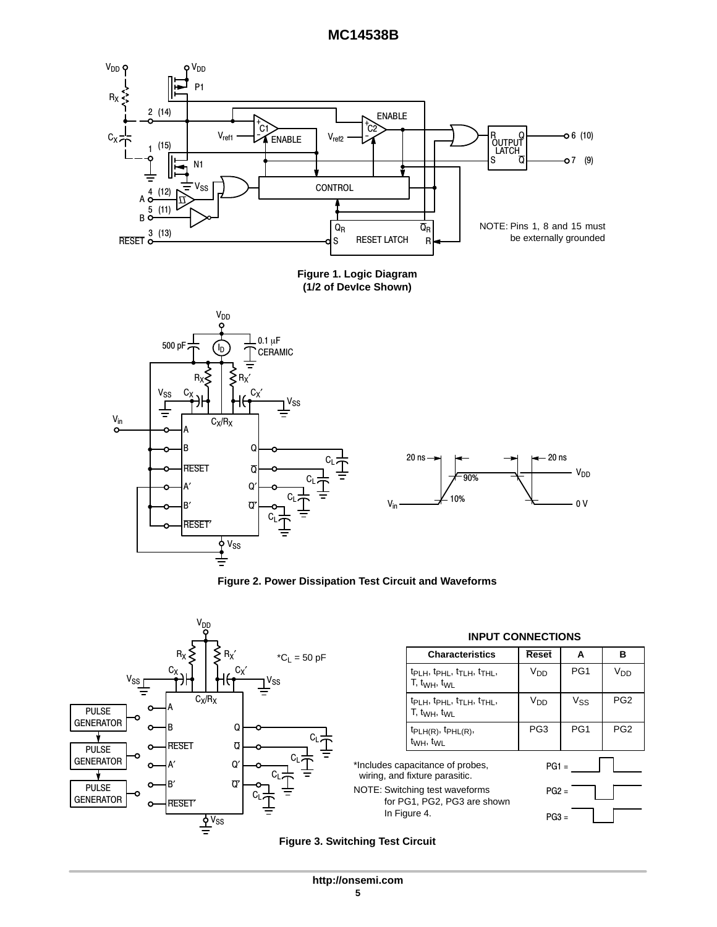







**Figure 2. Power Dissipation Test Circuit and Waveforms**



**Figure 3. Switching Test Circuit**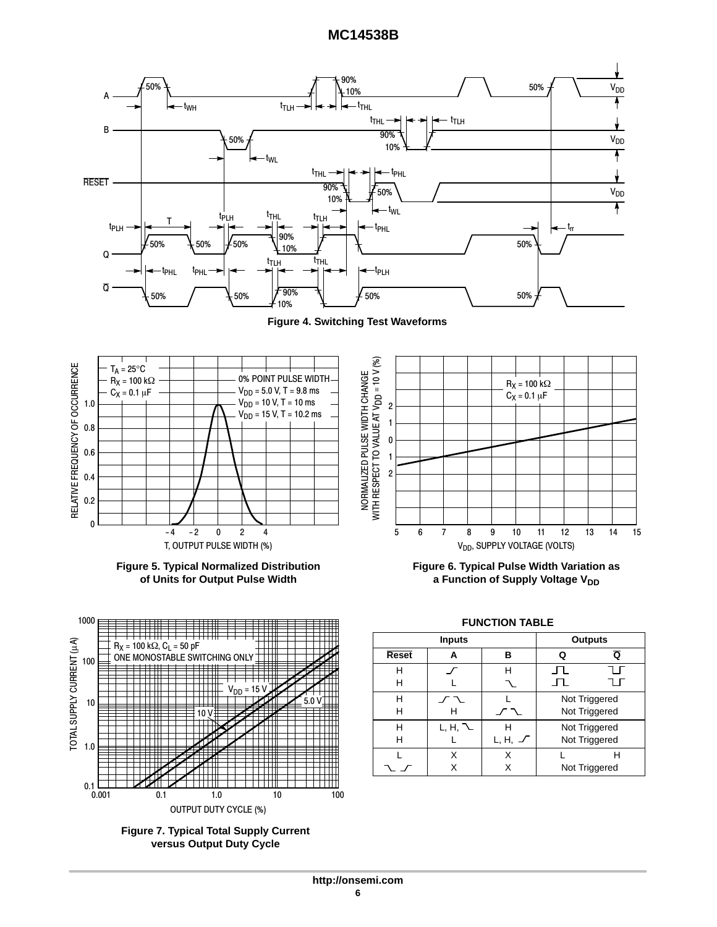

**Figure 4. Switching Test Waveforms**



**Figure 5. Typical Normalized Distribution of Units for Output Pulse Width**







**Figure 6. Typical Pulse Width Variation as a Function of Supply Voltage V<sub>DD</sub>** 

#### **FUNCTION TABLE**

|              | <b>Inputs</b> | <b>Outputs</b> |                                |               |  |
|--------------|---------------|----------------|--------------------------------|---------------|--|
| <b>Reset</b> | А             | в              | Q                              | O             |  |
| н<br>н       |               | н              |                                |               |  |
| н<br>Н       |               |                | Not Triggered<br>Not Triggered |               |  |
| н<br>н       |               | L, H,          | Not Triggered<br>Not Triggered |               |  |
|              | x<br>х        | x              |                                | Not Triggered |  |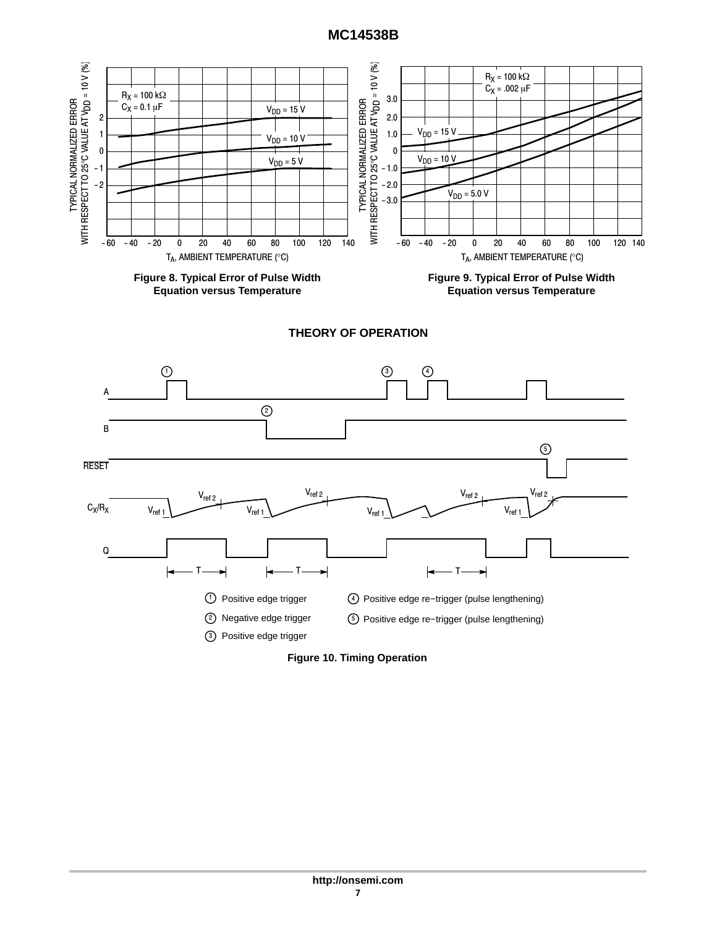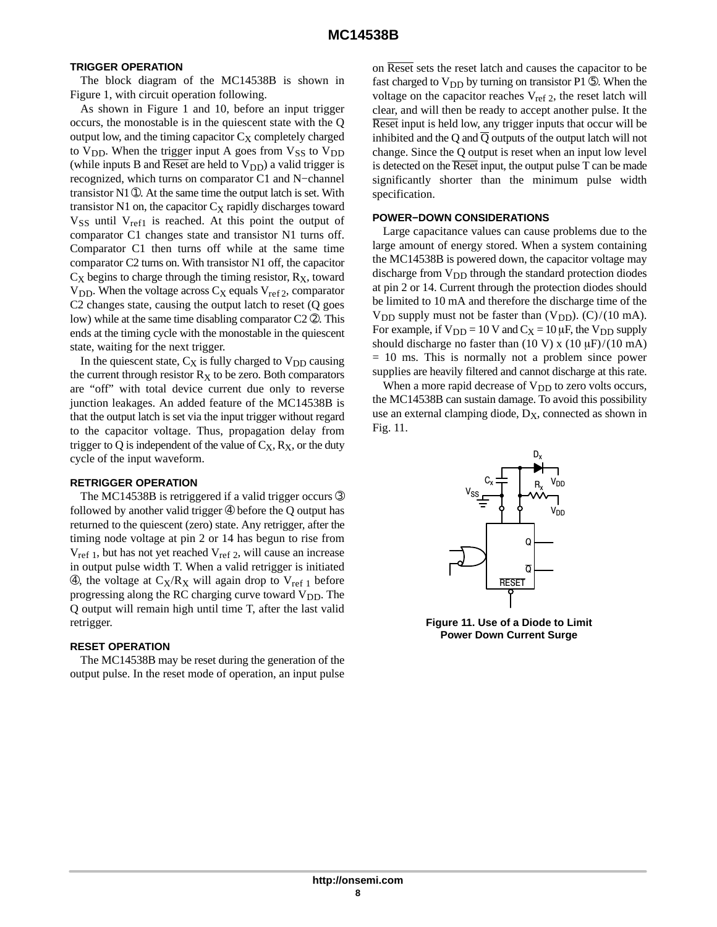#### **TRIGGER OPERATION**

The block diagram of the MC14538B is shown in Figure 1, with circuit operation following.

As shown in Figure 1 and 10, before an input trigger occurs, the monostable is in the quiescent state with the Q output low, and the timing capacitor  $C_X$  completely charged to  $V_{DD}$ . When the trigger input A goes from  $V_{SS}$  to  $V_{DD}$ (while inputs B and Reset are held to  $V_{DD}$ ) a valid trigger is recognized, which turns on comparator C1 and N−channel transistor N1 ➀. At the same time the output latch is set. With transistor N1 on, the capacitor  $C_X$  rapidly discharges toward  $V_{SS}$  until  $V_{ref1}$  is reached. At this point the output of comparator C1 changes state and transistor N1 turns off. Comparator C1 then turns off while at the same time comparator C2 turns on. With transistor N1 off, the capacitor  $C_X$  begins to charge through the timing resistor,  $R_X$ , toward  $V_{DD}$ . When the voltage across  $C_X$  equals  $V_{ref 2}$ , comparator C2 changes state, causing the output latch to reset (Q goes low) while at the same time disabling comparator C2  $\oslash$ . This ends at the timing cycle with the monostable in the quiescent state, waiting for the next trigger.

In the quiescent state,  $C_X$  is fully charged to  $V_{DD}$  causing the current through resistor  $R_X$  to be zero. Both comparators are "off" with total device current due only to reverse junction leakages. An added feature of the MC14538B is that the output latch is set via the input trigger without regard to the capacitor voltage. Thus, propagation delay from trigger to Q is independent of the value of  $C_X$ ,  $R_X$ , or the duty cycle of the input waveform.

#### **RETRIGGER OPERATION**

The MC14538B is retriggered if a valid trigger occurs  $\circled{3}$ followed by another valid trigger  $\Phi$  before the Q output has returned to the quiescent (zero) state. Any retrigger, after the timing node voltage at pin 2 or 14 has begun to rise from  $V_{ref 1}$ , but has not yet reached  $V_{ref 2}$ , will cause an increase in output pulse width T. When a valid retrigger is initiated  $\Phi$ , the voltage at C<sub>X</sub>/R<sub>X</sub> will again drop to V<sub>ref 1</sub> before progressing along the RC charging curve toward  $V_{DD}$ . The Q output will remain high until time T, after the last valid retrigger.

#### **RESET OPERATION**

The MC14538B may be reset during the generation of the output pulse. In the reset mode of operation, an input pulse on Reset sets the reset latch and causes the capacitor to be fast charged to  $V_{DD}$  by turning on transistor P1  $\circledcirc$ . When the voltage on the capacitor reaches  $V_{ref 2}$ , the reset latch will clear, and will then be ready to accept another pulse. It the Reset input is held low, any trigger inputs that occur will be inhibited and the Q and Q outputs of the output latch will not change. Since the Q output is reset when an input low level is detected on the  $\overline{\text{Reset}}$  input, the output pulse  $T$  can be made significantly shorter than the minimum pulse width specification.

#### **POWER−DOWN CONSIDERATIONS**

Large capacitance values can cause problems due to the large amount of energy stored. When a system containing the MC14538B is powered down, the capacitor voltage may discharge from  $V_{DD}$  through the standard protection diodes at pin 2 or 14. Current through the protection diodes should be limited to 10 mA and therefore the discharge time of the  $V_{DD}$  supply must not be faster than  $(V_{DD})$ . (C)/(10 mA). For example, if  $V_{DD} = 10$  V and  $C_X = 10 \mu F$ , the  $V_{DD}$  supply should discharge no faster than (10 V) x (10  $\mu$ F)/(10 mA) = 10 ms. This is normally not a problem since power supplies are heavily filtered and cannot discharge at this rate.

When a more rapid decrease of  $V_{DD}$  to zero volts occurs, the MC14538B can sustain damage. To avoid this possibility use an external clamping diode,  $D_X$ , connected as shown in Fig. 11.



**Figure 11. Use of a Diode to Limit Power Down Current Surge**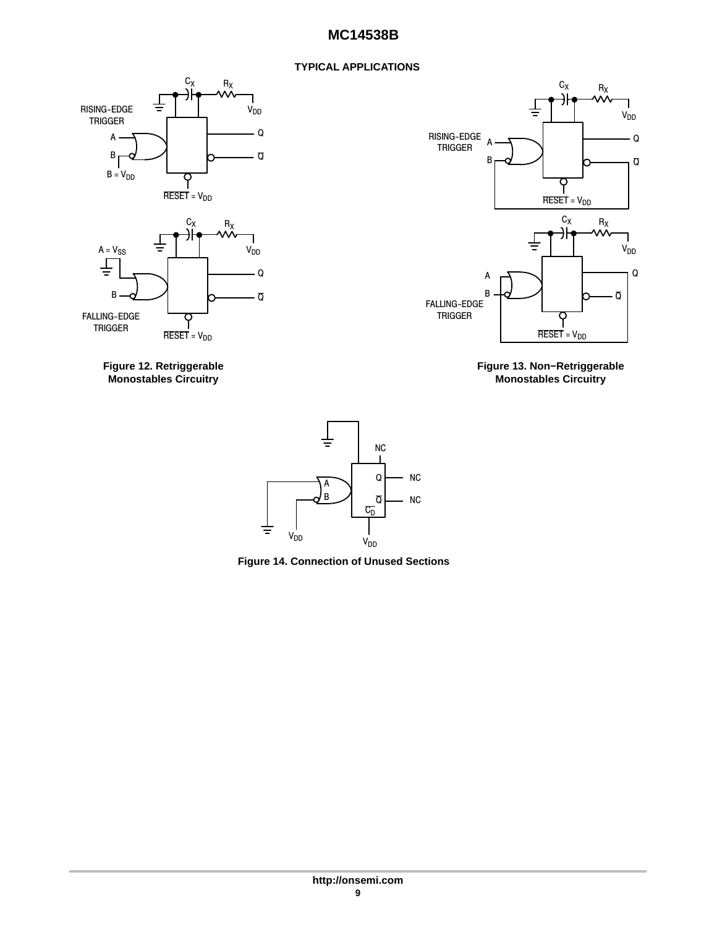### **TYPICAL APPLICATIONS**





**Figure 13. Non−Retriggerable Monostables Circuitry**





**Figure 14. Connection of Unused Sections**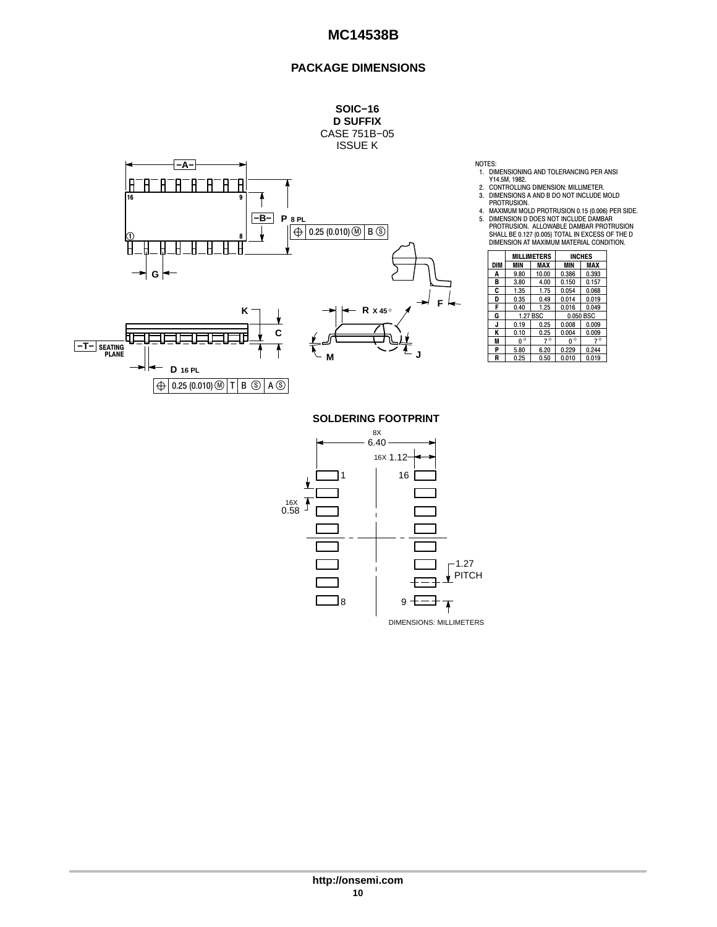### **PACKAGE DIMENSIONS**



16X 0.58

 $\overline{1}$ 

|     |              | <b>MILLIMETERS</b> |             | <b>INCHES</b> |  |
|-----|--------------|--------------------|-------------|---------------|--|
| DIM | MIN          | MAX                | <b>MIN</b>  | MAX           |  |
| A   | 9.80         | 10.00              | 0.386       | 0.393         |  |
| в   | 3.80         | 4.00               | 0.150       | 0.157         |  |
| C   | 1.35         | 1.75               | 0.054       | 0.068         |  |
| D   | 0.35         | 0.49               | 0.014       | 0.019         |  |
| F   | 0.40         | 1.25               | 0.016       | 0.049         |  |
| G   |              | 1.27 BSC           |             | 0.050 BSC     |  |
| J   | 0.19         | 0.25               | 0.008       | 0.009         |  |
| K   | 0.10         | 0.25               | 0.004       | 0.009         |  |
| М   | $\circ$<br>0 | $7^\circ$          | $0^{\circ}$ | $7^\circ$     |  |
| P   | 5.80         | 6.20               | 0.229       | 0.244         |  |
| R   | 0.25         | 0.50               | 0.010       | 0.019         |  |

 $-1.27$ 

PITCH

DIMENSIONS: MILLIMETERS

Ŧ

8 9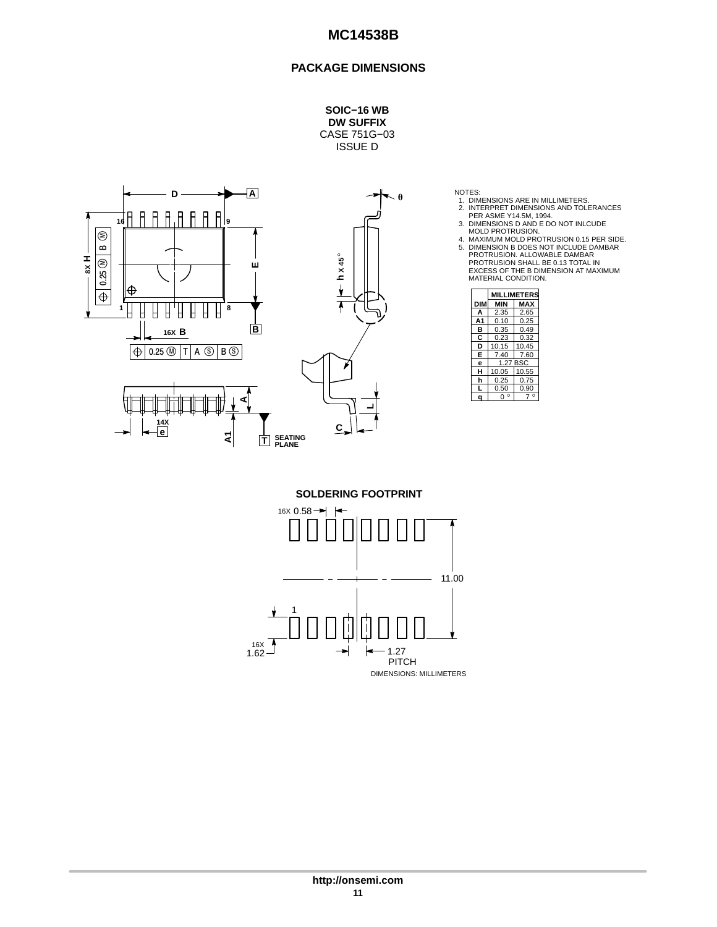### **PACKAGE DIMENSIONS**

**SOIC−16 WB DW SUFFIX** CASE 751G−03 ISSUE D



- 
- 
- 0<br>
1. DIMENSIONS ARE IN MILLIMETERS.<br>
1. DIMENSIONS ARE IN MILLIMETERS.<br>
2. INTERPRET DIMENSIONS AND TOLERANCES<br>
PER ASME Y14.5M, 1994.<br>
3. DIMENSIONS DANDE DO NOT INLCUDE<br>
MOLD PROTRUSION.<br>
4. MAXIMUM MOLD PROTRUSION 0.15

|            | <b>MILLIMETERS</b> |            |  |  |  |
|------------|--------------------|------------|--|--|--|
| <b>DIM</b> | MIN                | <b>MAX</b> |  |  |  |
|            | 2.35               | 2.65       |  |  |  |
| A1         | 0.10               | 0.25       |  |  |  |
| R          | 0.35               | 0.49       |  |  |  |
| С          | 0.23               | 0.32       |  |  |  |
| D          | 10.15              | 10.45      |  |  |  |
| E          | 7.40               | 7.60       |  |  |  |
| ė          |                    | 1.27 BSC   |  |  |  |
| н          | 10.05              | 10.55      |  |  |  |
| h          | 0.25               | 0.75       |  |  |  |
|            | 0.50               | 0.90       |  |  |  |
|            | $\circ$            |            |  |  |  |

**SOLDERING FOOTPRINT**16X  $0.58 \rightarrow$  $\blacktriangleright$ 11.00 1  $16X$ <br>1.62  $\overline{\phantom{a}}$   $\rightarrow$   $\overline{\phantom{a}}$  1.27 PITCH DIMENSIONS: MILLIMETERS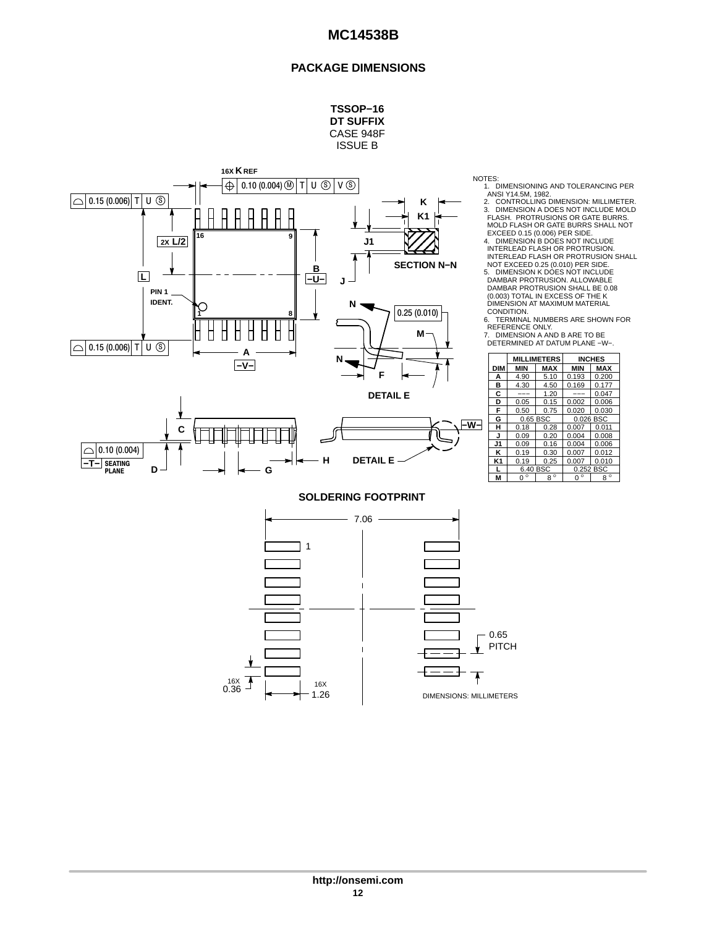### **PACKAGE DIMENSIONS**





**G**

**SEATING PLANE −T−**

**D**

 $\blacksquare$ ran de la construction de la construction de la construction de la construction de la construction de la constr ÇÇÇ NOTES:<br>1. DIMENSIONING AND TOLERANCING PER<br>ANSI Y14.5M, 1982.<br>2. CONTROLLING DIMENSION: MILLIMETER.<br>3. DIMENSION A DOES NOT INCLUDE MOLD<br>FLASH OR GATE BURRS SHALL NOT<br>MOLD FLASH OR GATE BURRS SHALL NOT EXCEED 0.15 (0.006) PER SIDE.<br>4. DIMENSION B DOES NOT INCLUDE<br>INTERLEAD FLASH OR PROTRUSION.<br>INTERLEAD FLASH OR PROTRUSION SHALL<br>NOT EXCEED 0.25 (0.010) PER SIDE.<br>5. DIMENSION K DOES NOT INCLUDE DAMBAR PROTRUSION. ALLOWABLE DAMBAR PROTRUSION SHALL BE 0.08

(0.003) TOTAL IN EXCESS OF THE K DIMENSION AT MAXIMUM MATERIAL CONDITION. 6. TERMINAL NUMBERS ARE SHOWN FOR

REFERENCE ONLY. 7. DIMENSION A AND B ARE TO BE DETERMINED AT DATUM PLANE −W−.

|     |              | <b>MILLIMETERS</b>     |       | <b>INCHES</b> |
|-----|--------------|------------------------|-------|---------------|
| DIM | <b>MIN</b>   | <b>MAX</b>             | MIN   | <b>MAX</b>    |
| А   | 4.90         | 5.10                   | 0.193 | 0.200         |
| в   | 4.30         | 4.50                   | 0.169 | 0.177         |
| C   |              | 1.20                   |       | 0.047         |
| D   | 0.05         | 0.15                   | 0.002 | 0.006         |
| F   | 0.50         | 0.75                   | 0.020 | 0.030         |
| G   | 0.65 BSC     |                        |       | 0.026 BSC     |
| н   | 0.18         | 0.28                   | 0.007 | 0.011         |
| J   | 0.09         | 0.20                   | 0.004 | 0.008         |
| J1  | 0.09         | 0.16                   | 0.004 | 0.006         |
| ĸ   | 0.19         | 0.30                   | 0.007 | 0.012         |
| K1  | 0.19         | 0.25                   | 0.007 | 0.010         |
|     | 6.40 BSC     |                        |       | 0.252 BSC     |
| м   | $\circ$<br>O | $8^{\overline{\circ}}$ | n     | $\circ$<br>R  |

**SOLDERING FOOTPRINT**

**H**

**DETAIL E**